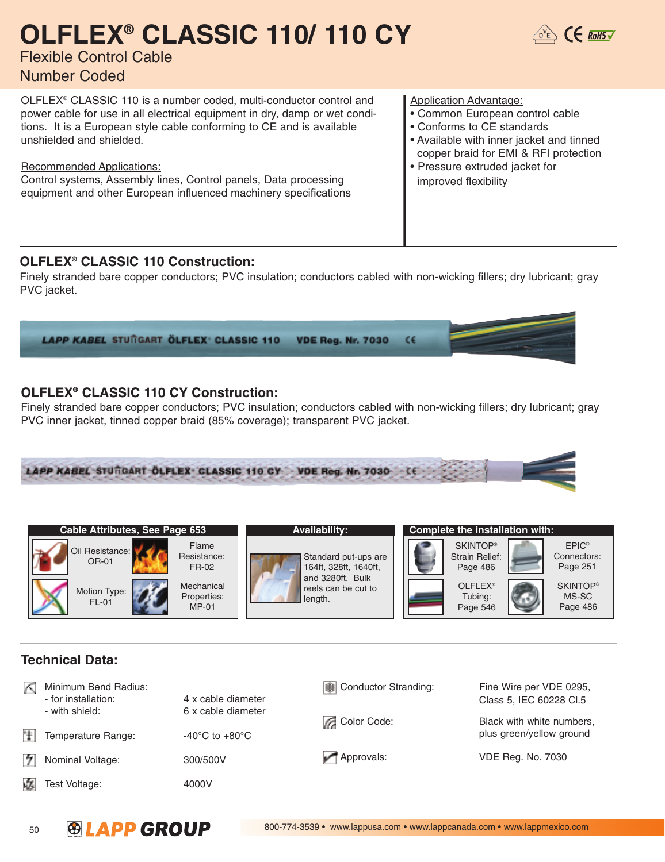## **OLFLEX® CLASSIC 110/ 110 CY**



### Flexible Control Cable Number Coded

OLFLEX® CLASSIC 110 is a number coded, multi-conductor control and power cable for use in all electrical equipment in dry, damp or wet conditions. It is a European style cable conforming to CE and is available unshielded and shielded.

Recommended Applications:

Control systems, Assembly lines, Control panels, Data processing equipment and other European influenced machinery specifications Application Advantage:

- Common European control cable
- Conforms to CE standards
- Available with inner jacket and tinned copper braid for EMI & RFI protection
- Pressure extruded jacket for improved flexibility

#### **OLFLEX® CLASSIC 110 Construction:**

Finely stranded bare copper conductors; PVC insulation; conductors cabled with non-wicking fillers; dry lubricant; gray PVC jacket.



### **OLFLEX® CLASSIC 110 CY Construction:**

Finely stranded bare copper conductors; PVC insulation; conductors cabled with non-wicking fillers; dry lubricant; gray PVC inner jacket, tinned copper braid (85% coverage); transparent PVC jacket.







Standard put-ups are 164ft, 328ft, 1640ft, and 3280ft. Bulk reels can be cut to length.

**Availability:** 

|  | Complete the instantion with.                        |                                              |
|--|------------------------------------------------------|----------------------------------------------|
|  | <b>SKINTOP®</b><br><b>Strain Relief:</b><br>Page 486 | EPIC <sup>®</sup><br>Connectors:<br>Page 251 |
|  | OLFLEX <sup>®</sup><br>Tubing:<br>Page 546           | <b>SKINTOP®</b><br>MS-SC<br>Page 486         |

### **Technical Data:**